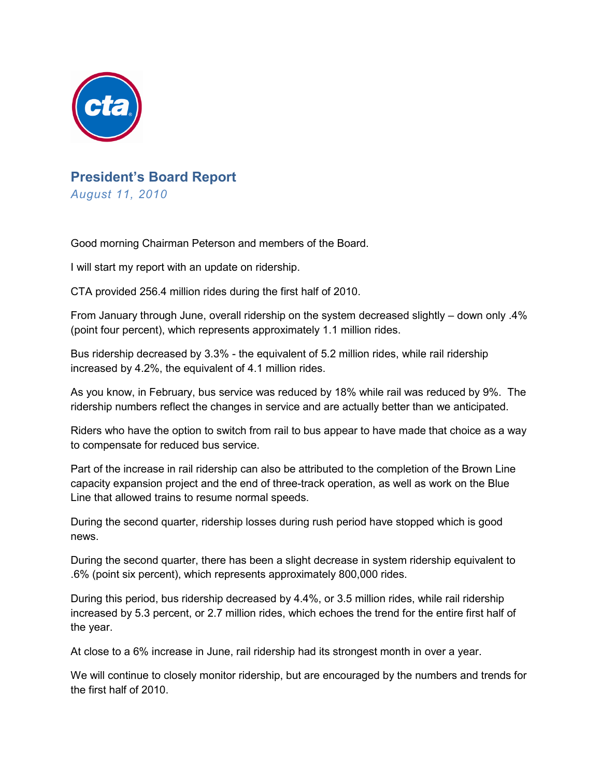

## **President's Board Report** *August 11, 2010*

Good morning Chairman Peterson and members of the Board.

I will start my report with an update on ridership.

CTA provided 256.4 million rides during the first half of 2010.

From January through June, overall ridership on the system decreased slightly – down only .4% (point four percent), which represents approximately 1.1 million rides.

Bus ridership decreased by 3.3% - the equivalent of 5.2 million rides, while rail ridership increased by 4.2%, the equivalent of 4.1 million rides.

As you know, in February, bus service was reduced by 18% while rail was reduced by 9%. The ridership numbers reflect the changes in service and are actually better than we anticipated.

Riders who have the option to switch from rail to bus appear to have made that choice as a way to compensate for reduced bus service.

Part of the increase in rail ridership can also be attributed to the completion of the Brown Line capacity expansion project and the end of three-track operation, as well as work on the Blue Line that allowed trains to resume normal speeds.

During the second quarter, ridership losses during rush period have stopped which is good news.

During the second quarter, there has been a slight decrease in system ridership equivalent to .6% (point six percent), which represents approximately 800,000 rides.

During this period, bus ridership decreased by 4.4%, or 3.5 million rides, while rail ridership increased by 5.3 percent, or 2.7 million rides, which echoes the trend for the entire first half of the year.

At close to a 6% increase in June, rail ridership had its strongest month in over a year.

We will continue to closely monitor ridership, but are encouraged by the numbers and trends for the first half of 2010.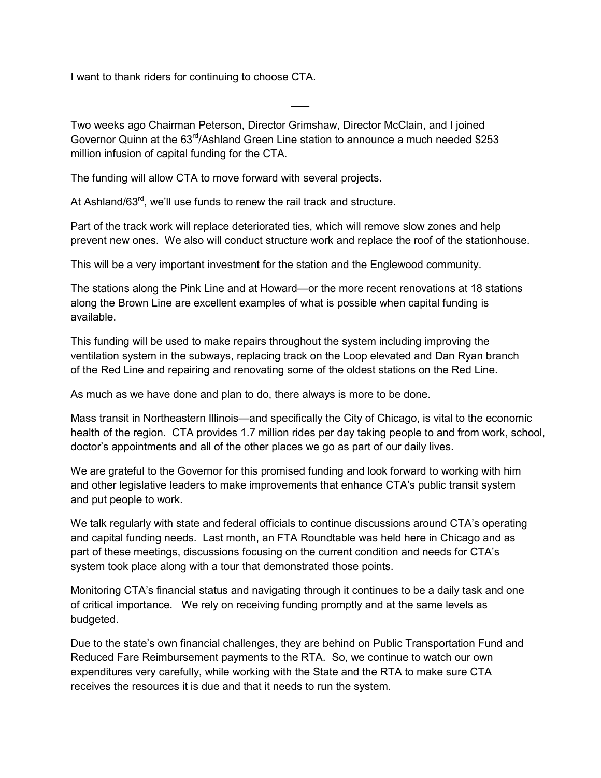I want to thank riders for continuing to choose CTA.

Two weeks ago Chairman Peterson, Director Grimshaw, Director McClain, and I joined Governor Quinn at the  $63<sup>rd</sup>/Ashland Green Line station to announce a much needed $253$ million infusion of capital funding for the CTA.

 $\overline{\phantom{a}}$ 

The funding will allow CTA to move forward with several projects.

At Ashland/63<sup>rd</sup>, we'll use funds to renew the rail track and structure.

Part of the track work will replace deteriorated ties, which will remove slow zones and help prevent new ones. We also will conduct structure work and replace the roof of the stationhouse.

This will be a very important investment for the station and the Englewood community.

The stations along the Pink Line and at Howard—or the more recent renovations at 18 stations along the Brown Line are excellent examples of what is possible when capital funding is available.

This funding will be used to make repairs throughout the system including improving the ventilation system in the subways, replacing track on the Loop elevated and Dan Ryan branch of the Red Line and repairing and renovating some of the oldest stations on the Red Line.

As much as we have done and plan to do, there always is more to be done.

Mass transit in Northeastern Illinois—and specifically the City of Chicago, is vital to the economic health of the region. CTA provides 1.7 million rides per day taking people to and from work, school, doctor's appointments and all of the other places we go as part of our daily lives.

We are grateful to the Governor for this promised funding and look forward to working with him and other legislative leaders to make improvements that enhance CTA's public transit system and put people to work.

We talk regularly with state and federal officials to continue discussions around CTA's operating and capital funding needs. Last month, an FTA Roundtable was held here in Chicago and as part of these meetings, discussions focusing on the current condition and needs for CTA's system took place along with a tour that demonstrated those points.

Monitoring CTA's financial status and navigating through it continues to be a daily task and one of critical importance. We rely on receiving funding promptly and at the same levels as budgeted.

Due to the state's own financial challenges, they are behind on Public Transportation Fund and Reduced Fare Reimbursement payments to the RTA. So, we continue to watch our own expenditures very carefully, while working with the State and the RTA to make sure CTA receives the resources it is due and that it needs to run the system.